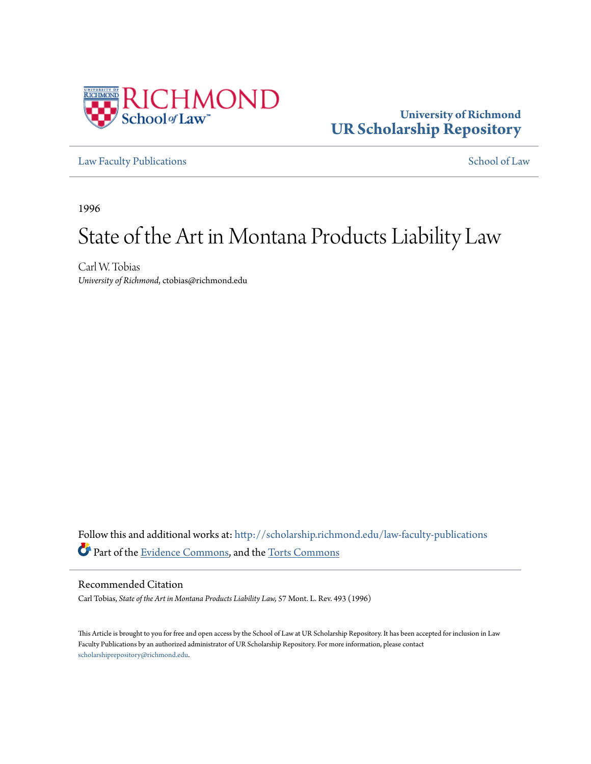

# **University of Richmond [UR Scholarship Repository](http://scholarship.richmond.edu?utm_source=scholarship.richmond.edu%2Flaw-faculty-publications%2F690&utm_medium=PDF&utm_campaign=PDFCoverPages)**

[Law Faculty Publications](http://scholarship.richmond.edu/law-faculty-publications?utm_source=scholarship.richmond.edu%2Flaw-faculty-publications%2F690&utm_medium=PDF&utm_campaign=PDFCoverPages) [School of Law](http://scholarship.richmond.edu/law?utm_source=scholarship.richmond.edu%2Flaw-faculty-publications%2F690&utm_medium=PDF&utm_campaign=PDFCoverPages)

1996

# State of the Art in Montana Products Liability Law

Carl W. Tobias *University of Richmond*, ctobias@richmond.edu

Follow this and additional works at: [http://scholarship.richmond.edu/law-faculty-publications](http://scholarship.richmond.edu/law-faculty-publications?utm_source=scholarship.richmond.edu%2Flaw-faculty-publications%2F690&utm_medium=PDF&utm_campaign=PDFCoverPages) Part of the [Evidence Commons](http://network.bepress.com/hgg/discipline/601?utm_source=scholarship.richmond.edu%2Flaw-faculty-publications%2F690&utm_medium=PDF&utm_campaign=PDFCoverPages), and the [Torts Commons](http://network.bepress.com/hgg/discipline/913?utm_source=scholarship.richmond.edu%2Flaw-faculty-publications%2F690&utm_medium=PDF&utm_campaign=PDFCoverPages)

Recommended Citation

Carl Tobias, *State of the Art in Montana Products Liability Law,* 57 Mont. L. Rev. 493 (1996)

This Article is brought to you for free and open access by the School of Law at UR Scholarship Repository. It has been accepted for inclusion in Law Faculty Publications by an authorized administrator of UR Scholarship Repository. For more information, please contact [scholarshiprepository@richmond.edu.](mailto:scholarshiprepository@richmond.edu)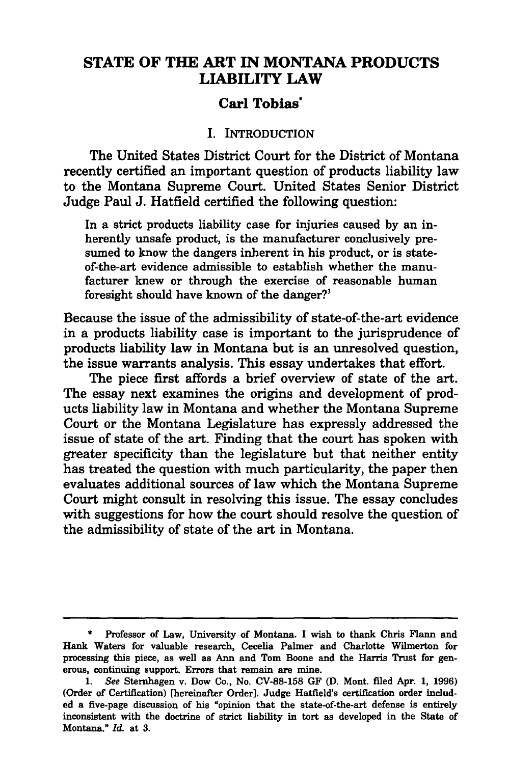# **STATE OF THE ART IN MONTANA PRODUCTS LIABILITY LAW**

#### **Carl Tobias·**

#### I. INTRODUCTION

The United States District Court for the District of Montana recently certified an important question of products liability law to the Montana Supreme Court. United States Senior District Judge Paul J. Hatfield certified the following question:

In a strict products liability case for injuries caused by an inherently unsafe product, is the manufacturer conclusively presumed to know the dangers inherent in his product, or is stateof-the-art evidence admissible to establish whether the manufacturer knew or through the exercise of reasonable human foresight should have known of the danger?<sup>1</sup>

Because the issue of the admissibility of state-of-the-art evidence in a products liability case is important to the jurisprudence of products liability law in Montana but is an unresolved question, the issue warrants analysis. This essay undertakes that effort.

The piece first affords a brief overview of state of the art. The essay next examines the origins and development of products liability law in Montana and whether the Montana Supreme Court or the Montana Legislature has expressly addressed the issue of state of the art. Finding that the court has spoken with greater specificity than the legislature but that neither entity has treated the question with much particularity, the paper then evaluates additional sources of law which the Montana Supreme Court might consult in resolving this issue. The essay concludes with suggestions for how the court should resolve the question of the admissibility of state of the art in Montana.

<sup>•</sup> Professor of Law, University of Montana. I wish to thank Chris Fiann and Hank Waters for valuable research, Cecelia Palmer and Charlotte Wilmerton for processing this piece, as well as Ann and Tom Boone and the Harris Trust for generous, continuing support. Errors that remain are mine.

<sup>1.</sup> *See* Sternhagen v. Dow Co., No. CV-88-158 GF (D. Mont. filed Apr. 1, 1996) (Order of Certification) [hereinafter Order]. Judge Hatfield's certification order included a five-page discussion of his "opinion that the state-of-the-art defense is entirely inconsistent with the doctrine of strict liability in tort as developed in the State of Montana." *Id.* at 3.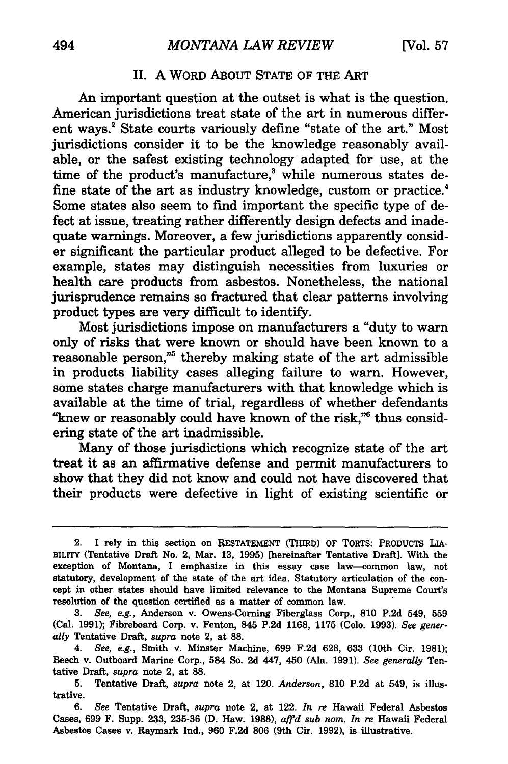#### II. A WORD ABOUT STATE OF THE ART

An important question at the outset is what is the question. American jurisdictions treat state of the art in numerous different ways.<sup>2</sup> State courts variously define "state of the art." Most jurisdictions consider it to be the knowledge reasonably available, or the safest existing technology adapted for use, at the time of the product's manufacture, $3$  while numerous states define state of the art as industry knowledge, custom or practice.<sup>4</sup> Some states also seem to find important the specific type of defect at issue, treating rather differently design defects and inadequate warnings. Moreover, a few jurisdictions apparently consider significant the particular product alleged to be defective. For example, states may distinguish necessities from luxuries or health care products from asbestos. Nonetheless, the national jurisprudence remains so fractured that clear patterns involving product types are very difficult to identify.

Most jurisdictions impose on manufacturers a "duty to warn only of risks that were known or should have been known to a reasonable person,"<sup>5</sup> thereby making state of the art admissible in products liability cases alleging failure to warn. However, some states charge manufacturers with that knowledge which is available at the time of trial, regardless of whether defendants "knew or reasonably could have known of the risk,"<sup>6</sup> thus considering state of the art inadmissible.

Many of those jurisdictions which recognize state of the art treat it as an affirmative defense and permit manufacturers to show that they did not know and could not have discovered that their products were defective in light of existing scientific or

<sup>2.</sup> I rely in this section on RESTATEMENT (THIRD) OF TORTS: PRODUCTS LIA-BILITY (Tentative Draft No. 2, Mar. 13, 1995) [hereinafter Tentative Draft]. With the exception of Montana, I emphasize in this essay case law-common law, not statutory, development of the state of the art idea. Statutory articulation of the concept in other states should have limited relevance to the Montana Supreme Court's resolution of the question certified as a matter of common law.

<sup>3.</sup> *See, e.g.,* Anderson v. Owens-Corning Fiberglass Corp., 810 P.2d 549, 559 (Cal. 1991); Fibreboard Corp. v. Fenton, 845 P.2d 1168, 1175 (Colo. 1993). *See generally* Tentative Draft, *supra* note 2, at 88.

<sup>4.</sup> *See, e.g.,* Smith v. Minster Machine, 699 F.2d 628, 633 (10th Cir. 1981); Beech v. Outboard Marine Corp., 584 So. 2d 447, 450 (Ala. 1991). *See generally* Tentative Draft, *supra* note 2, at 88.

<sup>5.</sup> Tentative Draft, *supra* note 2, at 120. *Anderson,* 810 P.2d at 549, is illustrative.

<sup>6.</sup> *See* Tentative Draft, *supra* note 2, at 122. *In re* Hawaii Federal Asbestos Cases, 699 F. Supp. 233, 235-36 (D. Haw. 1988), *affd sub nom. In re* Hawaii Federal Asbestos Cases v. Raymark Ind., 960 F.2d 806 (9th Cir. 1992), is illustrative.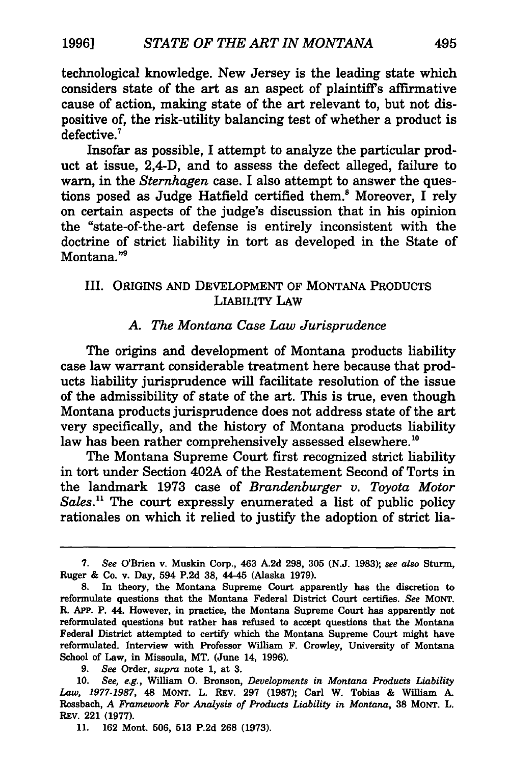technological knowledge. New Jersey is the leading state which considers state of the art as an aspect of plaintiffs affirmative cause of action, making state of the art relevant to, but not dispositive of, the risk-utility balancing test of whether a product is defective.<sup>7</sup>

Insofar as possible, I attempt to analyze the particular product at issue, 2,4-D, and to assess the defect alleged, failure to warn, in the *Sternhagen* case. I also attempt to answer the questions posed as Judge Hatfield certified them.<sup>8</sup> Moreover, I rely on certain aspects of the judge's discussion that in his opinion the "state-of-the-art defense is entirely inconsistent with the doctrine of strict liability in tort as developed in the State of Montana."

#### Ill. ORIGINS AND DEVELOPMENT OF MONTANA PRODUCTS LIABILITY LAW

#### *A. The Montana Case Law Jurisprudence*

The origins and development of Montana products liability case law warrant considerable treatment here because that products liability jurisprudence will facilitate resolution of the issue of the admissibility of state of the art. This is true, even though Montana products jurisprudence does not address state of the art very specifically, and the history of Montana products liability law has been rather comprehensively assessed elsewhere.<sup>10</sup>

The Montana Supreme Court first recognized strict liability in tort under Section 402A of the Restatement Second of Torts in the landmark 1973 case of *Brandenburger u. Toyota Motor*  Sales.<sup>11</sup> The court expressly enumerated a list of public policy rationales on which it relied to justify the adoption of strict lia-

<sup>7.</sup> *See* O'Brien v. Muskin Corp., 463 A2d 298, 305 (N.J. 1983); *see also* Sturm, Ruger & Co. v. Day, 594 P.2d 38, 44-45 (Alaska 1979).

<sup>8.</sup> In theory, the Montana Supreme Court apparently has the discretion to reformulate questions that the Montana Federal District Court certifies. *See* MONT. R. APP. P. 44. However, in practice, the Montana Supreme Court has apparently not reformulated questions but rather has refused to accept questions that the Montana Federal District attempted to certify which the Montana Supreme Court might have reformulated. Interview with Professor William F. Crowley, University of Montana School of Law, in Missoula, MT. (June 14, 1996).

<sup>9.</sup> *See* Order, *supra* note 1, at 3.

<sup>10.</sup> *See, e.g.,* William 0. Bronson, *Developments in Montana Products Liability Law, 1977-1987,* 48 MONT. L. REV. 297 (1987); Carl W. Tobias & William A Rossbach, *A Framework For Analysis of Products Liability in Montana,* 38 MONT. L. REv. 221 (1977).

<sup>11. 162</sup> Mont. 506, 513 P.2d 268 (1973).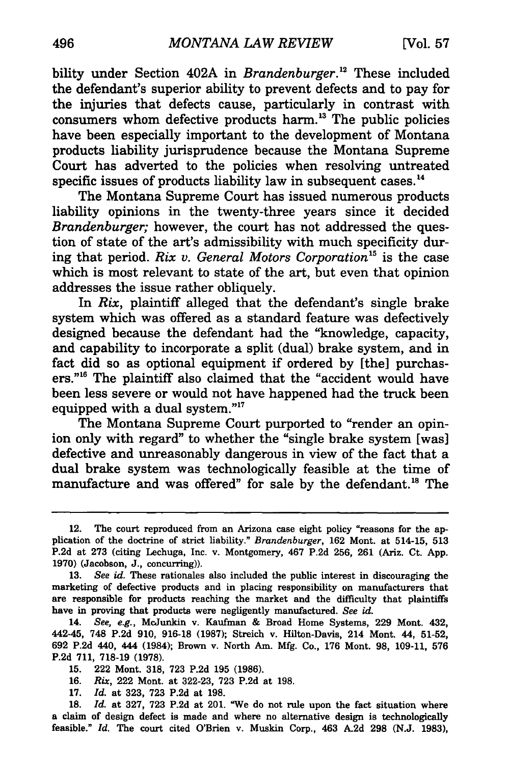bility under Section 402A in *Brandenburger*.<sup>12</sup> These included the defendant's superior ability to prevent defects and to pay for the injuries that defects cause, particularly in contrast with consumers whom defective products harm. 13 The public policies have been especially important to the development of Montana products liability jurisprudence because the Montana Supreme Court has adverted to the policies when resolving untreated specific issues of products liability law in subsequent cases.<sup>14</sup>

The Montana Supreme Court has issued numerous products liability opinions in the twenty-three years since it decided *Brandenburger;* however, the court has not addressed the question of state of the art's admissibility with much specificity during that period. *Rix v. General Motors Corporation* 15 is the case which is most relevant to state of the art, but even that opinion addresses the issue rather obliquely.

In *Rix,* plaintiff alleged that the defendant's single brake system which was offered as a standard feature was defectively designed because the defendant had the "knowledge, capacity, and capability to incorporate a split (dual) brake system, and in fact did so as optional equipment if ordered by [the] purchasers."16 The plaintiff also claimed that the "accident would have been less severe or would not have happened had the truck been equipped with a dual system."<sup>17</sup>

The Montana Supreme Court purported to "render an opinion only with regard" to whether the "single brake system [was] defective and unreasonably dangerous in view of the fact that a dual brake system was technologically feasible at the time of manufacture and was offered" for sale by the defendant.<sup>18</sup> The

<sup>12.</sup> The court reproduced from an Arizona case eight policy "reasons for the application of the doctrine of strict liability." *Brandenburger,* 162 Mont. at 514-15, 513 P.2d at 273 (citing Lechuga, Inc. v. Montgomery, 467 P.2d 256, 261 (Ariz. Ct. App. 1970) (Jacobson, J., concurring)).

<sup>13.</sup> *See id.* These rationales also included the public interest in discouraging the marketing of defective products and in placing responsibility on manufacturers that are responsible for products reaching the market and the difficulty that plaintiffs have in proving that products were negligently manufactured. *See* id.

<sup>14.</sup> *See, e.g.,* Mc.Junkin v. Kaufman & Broad Home Systems, 229 Mont. 432, 442-45, 748 P.2d 910, 916-18 (1987); Streich v. Hilton-Davis, 214 Mont. 44, 51-52, 692 P.2d 440, 444 (1984); Brown v. North Am. Mfg. Co., 176 Mont. 98, 109-11, 576 P.2d 711, 718-19 (1978).

<sup>15. 222</sup> Mont. 318, 723 P.2d 195 (1986).

<sup>16.</sup> Rix, 222 Mont. at 322-23, 723 P.2d at 198.

<sup>17.</sup> *Id.* at 323, 723 P.2d at 198.

<sup>18.</sup> *Id.* at 327, 723 P.2d at 201. "We do not rule upon the fact situation where a claim of design defect is made and where no alternative design is technologically feasible." *Id.* The court cited O'Brien v. Muskin Corp., 463 A.2d 298 (N.J. 1983),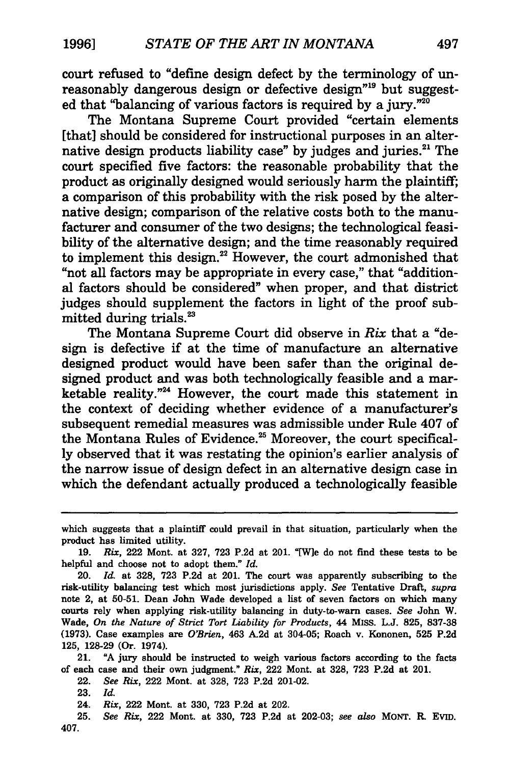court refused to "define design defect by the terminology of unreasonably dangerous design or defective design<sup>"19</sup> but suggested that "balancing of various factors is required by a jury."<sup>20</sup>

The Montana Supreme Court provided "certain elements [that] should be considered for instructional purposes in an alternative design products liability case" by judges and juries.<sup>21</sup> The court specified five factors: the reasonable probability that the product as originally designed would seriously harm the plaintiff; a comparison of this probability with the risk posed by the alternative design; comparison of the relative costs both to the manufacturer and consumer of the two designs; the technological feasibility of the alternative design; and the time reasonably required to implement this design.<sup>22</sup> However, the court admonished that "not all factors may be appropriate in every case," that "additional factors should be considered" when proper, and that district judges should supplement the factors in light of the proof submitted during trials.<sup>23</sup>

The Montana Supreme Court did observe in Rix that a "design is defective if at the time of manufacture an alternative designed product would have been safer than the original designed product and was both technologically feasible and a marketable reality."<sup>24</sup> However, the court made this statement in the context of deciding whether evidence of a manufacturer's subsequent remedial measures was admissible under Rule 407 of the Montana Rules of Evidence.<sup>25</sup> Moreover, the court specifically observed that it was restating the opinion's earlier analysis of the narrow issue of design defect in an alternative design case in which the defendant actually produced a technologically feasible

21. "A jury should be instructed to weigh various factors according to the facts of each case and their own judgment." *Rix,* 222 Mont. at 328, 723 P.2d at 201.

22. *See Rix,* 222 Mont. at 328, 723 P.2d 201-02.

23. *Id.* 

24. *Rix,* 222 Mont. at 330, 723 P.2d at 202.

25. *See Rix,* 222 Mont. at 330, 723 P.2d at 202-03; *see also* MONT. R. Evm. 407.

which suggests that a plaintiff could prevail in that situation, particularly when the product has limited utility.

<sup>19.</sup> *Rix,* 222 Mont. at 327, 723 P.2d at 201. "[W)e do not find these tests to be helpful and choose not to adopt them." *Id.* 

<sup>20.</sup> *Id.* at 328, 723 P.2d at 201. The court was apparently subscribing to the risk-utility balancing test which most jurisdictions apply. *See* Tentative Draft, *supra*  note 2, at 50-51. Dean John Wade developed a list of seven factors on which many courts rely when applying risk-utility balancing in duty-to-warn cases. *See* John W. Wade, *On the Nature of Strict Tort Liability for Products,* 44 MISS. L.J. 825, 837-38 (1973). Case examples are *O'Brien,* 463 A2d at 304-05; Roach v. Kononen, 525 P.2d 125, 128-29 (Or. 1974).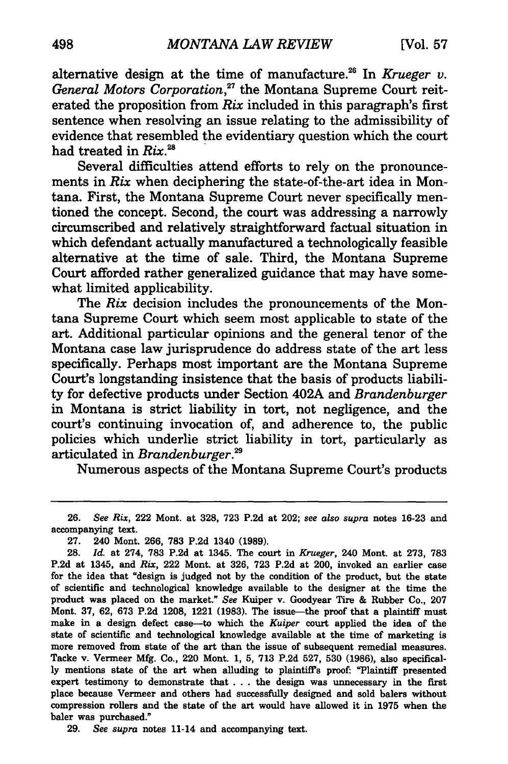alternative design at the time of manufacture.<sup>26</sup> In *Krueger v.* General Motors Corporation,<sup>27</sup> the Montana Supreme Court reiterated the proposition from Rix included in this paragraph's first sentence when resolving an issue relating to the admissibility of evidence that resembled the evidentiary question which the court had treated in  $Rix.^{28}$ 

Several difficulties attend efforts to rely on the pronouncements in Rix when deciphering the state-of-the-art idea in Montana. First, the Montana Supreme Court never specifically mentioned the concept. Second, the court was addressing a narrowly circumscribed and relatively straightforward factual situation in which defendant actually manufactured a technologically feasible alternative at the time of sale. Third, the Montana Supreme Court afforded rather generalized guidance that may have somewhat limited applicability.

The Rix decision includes the pronouncements of the Montana Supreme Court which seem most applicable to state of the art. Additional particular opinions and the general tenor of the Montana case law jurisprudence do address state of the art less specifically. Perhaps most important are the Montana Supreme Court's longstanding insistence that the basis of products liability for defective products under Section 402A and *Brandenburger*  in Montana is strict liability in tort, not negligence, and the court's continuing invocation of, and adherence to, the public policies which underlie strict liability in tort, particularly as articulated in *Brandenburger.29* 

Numerous aspects of the Montana Supreme Court's products

29. *See supra* notes 11-14 and accompanying text.

<sup>26.</sup> *See Rix,* 222 Mont. at 328, 723 P.2d at 202; *see also supra* notes 16-23 and accompanying text.

<sup>27. 240</sup> Mont. 266, 783 P.2d 1340 (1989).

<sup>28.</sup> *Id.* at 274, 783 P.2d at 1345. The court in *Krueger,* 240 Mont. at 273, 783 P.2d at 1345, and *Rix,* 222 Mont. at 326, 723 P.2d at 200, invoked an earlier case for the idea that "design is judged not by the condition of the product, but the state of scientific and technological knowledge available to the designer at the time the product was placed on the market." *See* Kuiper v. Goodyear Tire & Rubber Co., 207 Mont. 37, 62, 673 P.2d 1208, 1221 (1983). The issue-the proof that a plaintiff must make in a design defect case-to which the *Kuiper* court applied the idea of the state of scientific and technological knowledge available at the time of marketing is more removed from state of the art than the issue of subsequent remedial measures. Tacke v. Vermeer Mfg. Co., 220 Mont. 1, 5, 713 P.2d 527, 530 (1986), also specifically mentions state of the art when alluding to plaintiffs proof: "Plaintiff presented expert testimony to demonstrate that . . . the design was unnecessary in the first place because Vermeer and others had successfully designed and sold balers without compression rollers and the state of the art would have allowed it in 1975 when the baler was purchased."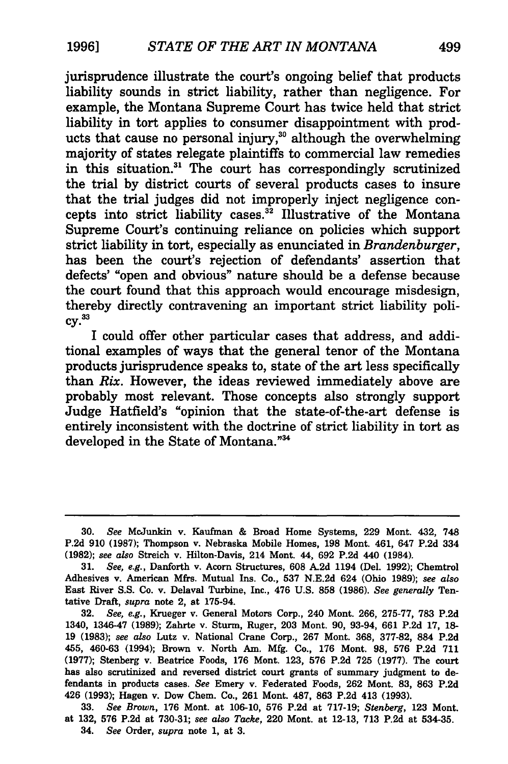jurisprudence illustrate the court's ongoing belief that products liability sounds in strict liability, rather than negligence. For example, the Montana Supreme Court has twice held that strict liability in tort applies to consumer disappointment with products that cause no personal injury, $30$  although the overwhelming majority of states relegate plaintiffs to commercial law remedies in this situation.<sup>31</sup> The court has correspondingly scrutinized the trial by district courts of several products cases to insure that the trial judges did not improperly inject negligence concepts into strict liability cases.<sup>32</sup> Illustrative of the Montana Supreme Court's continuing reliance on policies which support strict liability in tort, especially as enunciated in *Brandenburger,*  has been the court's rejection of defendants' assertion that defects' "open and obvious" nature should be a defense because the court found that this approach would encourage misdesign, thereby directly contravening an important strict liability poli $cv.<sup>33</sup>$ 

I could offer other particular cases that address, and additional examples of ways that the general tenor of the Montana products jurisprudence speaks to, state of the art less specifically than *Rix.* However, the ideas reviewed immediately above are probably most relevant. Those concepts also strongly support Judge Hatfield's "opinion that the state-of-the-art defense is entirely inconsistent with the doctrine of strict liability in tort as developed in the State of Montana."<sup>34</sup>

<sup>30.</sup> *See* Mc.Junkin v. Kaufman & Broad Home Systems, 229 Mont. 432, 748 P.2d 910 (1987); Thompson v. Nebraska Mobile Homes, 198 Mont. 461, 647 P.2d 334 (1982); *see also* Streich v. Hilton-Davis, 214 Mont. 44, 692 P.2d 440 (1984).

<sup>31.</sup> *See, e.g.,* Danforth v. Acorn Structures, 608 A2d 1194 (Del. 1992); Chemtrol Adhesives v. American Mfrs. Mutual Ins. Co., 537 N.E.2d 624 (Ohio 1989); *see also*  East River S.S. Co. v. Delaval Turbine, Inc., 476 U.S. 858 (1986). *See generally* Tentative Draft, *supra* note 2, at 175-94.

<sup>32.</sup> *See, e.g.,* Krueger v. General Motors Corp., 240 Mont. 266, 275-77, 783 P.2d 1340, 1346-47 (1989); Zahrte v. Sturm, Ruger, 203 Mont. 90, 93-94, 661 P.2d 17, 18- 19 (1983); *see also* Lutz v. National Crane Corp., 267 Mont. 368, 377-82, 884 P.2d 455, 460-63 (1994); Brown v. North Am. Mfg. Co., 176 Mont. 98, 576 P.2d 711 (1977); Stenberg v. Beatrice Foods, 176 Mont. 123, 576 P.2d 725 (1977). The court has also scrutinized and reversed district court grants of summary judgment to defendants in products cases. *See* Emery v. Federated Foods, 262 Mont. 83, 863 P.2d 426 (1993); Hagen v. Dow Chem. Co., 261 Mont. 487, 863 P.2d 413 (1993).

<sup>33.</sup> *See Brown,* 176 Mont. at 106-10, 576 P.2d at 717-19; *Stenberg,* 123 Mont. at 132, 576 P.2d at 730-31; *see also Tacke,* 220 Mont. at 12-13, 713 P.2d at 534-35. 34. *See* Order, *supra* note 1, at 3.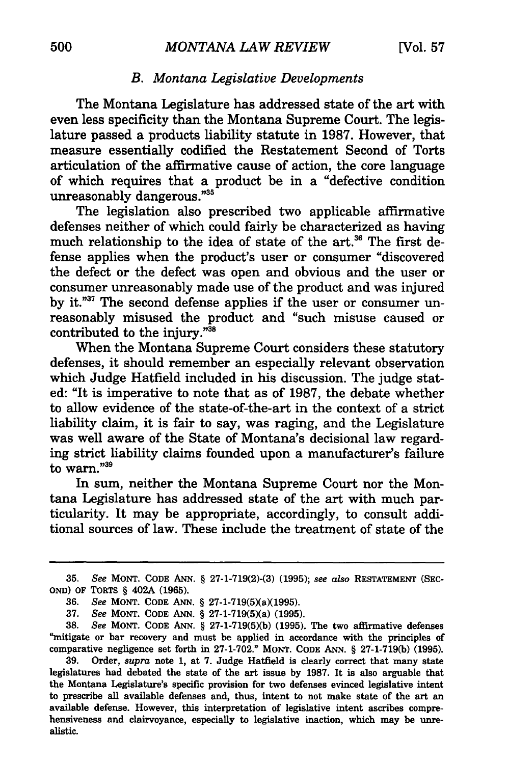#### *B. Montana Legislative Developments*

The Montana Legislature has addressed state of the art with even less specificity than the Montana Supreme Court. The legislature passed a products liability statute in 1987. However, that measure essentially codified the Restatement Second of Torts articulation of the affirmative cause of action, the core language of which requires that a product be in a "defective condition unreasonably dangerous."<sup>35</sup>

The legislation also prescribed two applicable affirmative defenses neither of which could fairly be characterized as having much relationship to the idea of state of the art.<sup>36</sup> The first defense applies when the product's user or consumer "discovered the defect or the defect was open and obvious and the user or consumer unreasonably made use of the product and was injured by it."37 The second defense applies if the user or consumer unreasonably misused the product and "such misuse caused or contributed to the injury."<sup>38</sup>

When the Montana Supreme Court considers these statutory defenses, it should remember an especially relevant observation which Judge Hatfield included in his discussion. The judge stated: "It is imperative to note that as of 1987, the debate whether to allow evidence of the state-of-the-art in the context of a strict liability claim, it is fair to say, was raging, and the Legislature was well aware of the State of Montana's decisional law regarding strict liability claims founded upon a manufacturer's failure to warn."<sup>39</sup>

In sum, neither the Montana Supreme Court nor the Montana Legislature has addressed state of the art with much particularity. It may be appropriate, accordingly, to consult additional sources of law. These include the treatment of state of the

37. *See* MONT. CODE ANN. § 27-l-719(5)(a) (1995).

38. *See* MONT. CODE ANN. § 27-1-719(5)(b) (1995). The two affirmative defenses "mitigate or bar recovery and must be applied in accordance with the principles of comparative negligence set forth in 27-1-702." MONT. CODE ANN. § 27-1-719(b) (1995).

<sup>35.</sup> *See* MONT. CODE ANN. § 27-1-719(2)-(3) (1995); *see also* RESTATEMENT (SEC-OND) OF TORTS § 402A (1965).

<sup>36.</sup> *See* MONT. CODE ANN. § 27-1-719(5)(a)(1995).

<sup>39.</sup> Order, *supra* note 1, at 7. Judge Hatfield is clearly correct that many state legislatures had debated the state of the art issue by 1987. It is also arguable that the Montana Legislature's specific provision for two defenses evinced legislative intent to prescribe all available defenses and, thus, intent to not make state of the art an available defense. However, this interpretation of legislative intent ascribes comprehensiveness and clairvoyance, especially to legislative inaction, which may be unrealistic.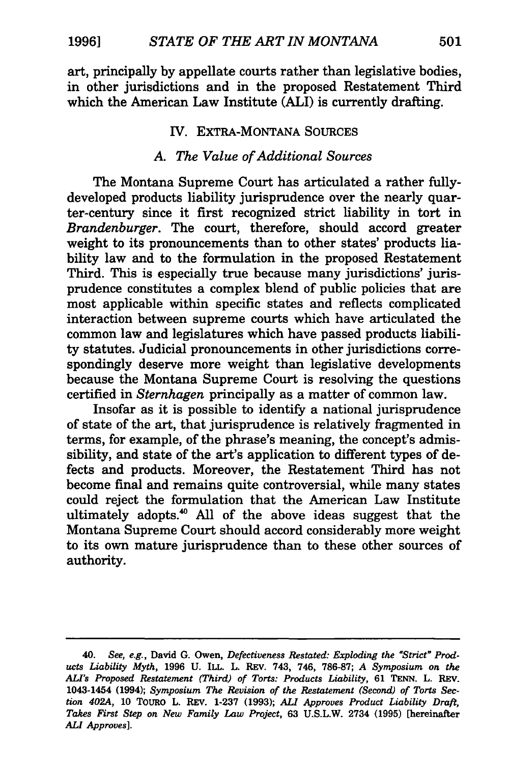art, principally by appellate courts rather than legislative bodies, in other jurisdictions and in the proposed Restatement Third which the American Law Institute (ALI) is currently drafting.

### IV. EXTRA-MONTANA SOURCES

## A. *The Value of Additional Sources*

The Montana Supreme Court has articulated a rather fullydeveloped products liability jurisprudence over the nearly quarter-century since it first recognized strict liability in tort in *Brandenburger.* The court, therefore, should accord greater weight to its pronouncements than to other states' products liability law and to the formulation in the proposed Restatement Third. This is especially true because many jurisdictions' jurisprudence constitutes a complex blend of public policies that are most applicable within specific states and reflects complicated interaction between supreme courts which have articulated the common law and legislatures which have passed products liability statutes. Judicial pronouncements in other jurisdictions correspondingly deserve more weight than legislative developments because the Montana Supreme Court is resolving the questions certified in *Sternhagen* principally as a matter of common law.

Insofar as it is possible to identify a national jurisprudence of state of the art, that jurisprudence is relatively fragmented in terms, for example, of the phrase's meaning, the concept's admissibility, and state of the art's application to different types of defects and products. Moreover, the Restatement Third has not become final and remains quite controversial, while many states could reject the formulation that the American Law Institute ultimately adopts.<sup>40</sup> All of the above ideas suggest that the Montana Supreme Court should accord considerably more weight to its own mature jurisprudence than to these other sources of authority.

<sup>40.</sup> *See, e.g.,* David G. Owen, *Defectiveness Restated: Exploding the "Strict"' Products Liability Myth,* 1996 U. ILL. L. REv. 743, 746, 786-87; *A Symposium on the ALI's Proposed Restatement (Third) of Torts: Products Liability,* 61 TENN. L. REv. 1043-1454 (1994); *Symposium The Revision of the Restatement (Second) of Torts Section 402A,* 10 TOURO L. REV. 1-237 (1993); *ALI Approves Product Liability Draft, Takes First Step on New Family Law Project,* 63 U.S.L.W. 2734 (1995) [hereinafter *ALI Approves].*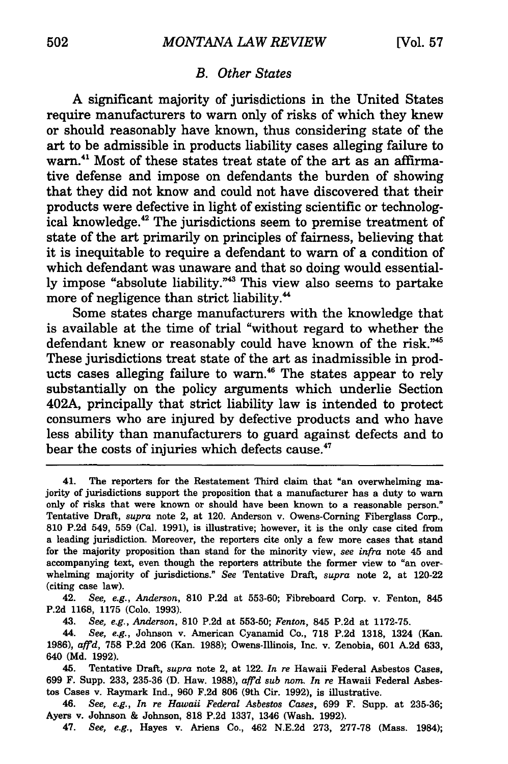#### B. *Other States*

A significant majority of jurisdictions in the United States require manufacturers to warn only of risks of which they knew or should reasonably have known, thus considering state of the art to be admissible in products liability cases alleging failure to warn.<sup>41</sup> Most of these states treat state of the art as an affirmative defense and impose on defendants the burden of showing that they did not know and could not have discovered that their products were defective in light of existing scientific or technological knowledge.<sup>42</sup> The jurisdictions seem to premise treatment of state of the art primarily on principles of fairness, believing that it is inequitable to require a defendant to warn of a condition of which defendant was unaware and that so doing would essentially impose "absolute liability."43 This view also seems to partake more of negligence than strict liability.<sup>44</sup>

Some states charge manufacturers with the knowledge that is available at the time of trial "without regard to whether the defendant knew or reasonably could have known of the risk."45 These jurisdictions treat state of the art as inadmissible in products cases alleging failure to warn. 46 The states appear to rely substantially on the policy arguments which underlie Section 402A, principally that strict liability law is intended to protect consumers who are injured by defective products and who have less ability than manufacturers to guard against defects and to bear the costs of injuries which defects cause.<sup>47</sup>

41. The reporters for the Restatement Third claim that "an overwhelming majority of jurisdictions support the proposition that a manufacturer has a duty to warn only of risks that were known or should have been known to a reasonable person." Tentative Draft, *supra* note 2, at 120. Anderson v. Owens-Corning Fiberglass Corp., 810 P.2d 549, 559 (Cal. 1991), is illustrative; however, it is the only case cited from a leading jurisdiction. Moreover, the reporters cite only a few more cases that stand for the majority proposition than stand for the minority view, *see infra* note 45 and accompanying text, even though the reporters attribute the former view to "an overwhelming majority of jurisdictions." *See* Tentative Draft, *supra* note 2, at 120-22 (citing case law).

42. *See, e.g., Anderson,* 810 P.2d at 553-60; Fibreboard Corp. v. Fenton, 845 P.2d 1168, 1175 (Colo. 1993).

43. *See, e.g., Anderson,* 810 P.2d at 553-50; *Fenton,* 845 P.2d at 1172-75.

44. *See, e.g.,* Johnson v. American Cyanamid Co., 718 P.2d 1318, 1324 (Kan. 1986), *affd,* 758 P.2d 206 (Kan. 1988); Owens-Illinois, Inc. v. Zenobia, 601 A2d 633, 640 (Md. 1992).

45. Tentative Draft, *supra* note 2, at 122. *In re* Hawaii Federal Asbestos Cases, 699 F. Supp. 233, 235-36 (D. Haw. 1988), *affd sub nom. In re* Hawaii Federal Asbestos Cases v. Raymark Ind., 960 F.2d 806 (9th Cir. 1992), is illustrative.

46. *See, e.g., In re Hawaii Federal Asbestos Cases,* 699 F. Supp. at 235-36; Ayers v. Johnson & Johnson, 818 P.2d 1337, 1346 (Wash. 1992).

47. *See, e.g.,* Hayes v. Ariens Co., 462 N.E.2d 273, 277-78 (Mass. 1984);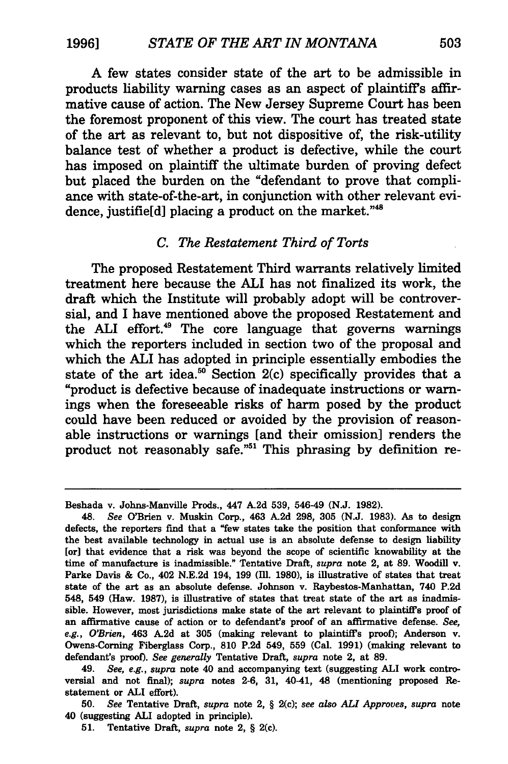A few states consider state of the art to be admissible in products liability warning cases as an aspect of plaintiff's affirmative cause of action. The New Jersey Supreme Court has been the foremost proponent of this view. The court has treated state of the art as relevant to, but not dispositive of, the risk-utility balance test of whether a product is defective, while the court has imposed on plaintiff the ultimate burden of proving defect but placed the burden on the "defendant to prove that compliance with state-of-the-art, in conjunction with other relevant evidence, justifield] placing a product on the market."<sup>48</sup>

#### *C. The Restatement Third of Torts*

The proposed Restatement Third warrants relatively limited treatment here because the ALI has not finalized its work, the draft which the Institute will probably adopt will be controversial, and I have mentioned above the proposed Restatement and the ALI effort. 49 The core language that governs warnings which the reporters included in section two of the proposal and which the ALI has adopted in principle essentially embodies the state of the art idea. $50^{\circ}$  Section 2(c) specifically provides that a "product is defective because of inadequate instructions or warnings when the foreseeable risks of harm posed by the product could have been reduced or avoided by the provision of reasonable instructions or warnings [and their omission] renders the product not reasonably safe.<sup>751</sup> This phrasing by definition re-

50. *See* Tentative Draft, *supra* note 2, § 2(c); *see also ALI Approves, supra* note 40 (suggesting ALI adopted in principle).

Beshada v. Johns-Manville Prods., 447 A.2d 539, 546-49 (N.J. 1982).

<sup>48.</sup> *See* O'Brien v. Muskin Corp., 463 A.2d 298, 305 (N.J. 1983). As to design defects, the reporters find that a "few states take the position that conformance with the best available technology in actual use is an absolute defense to design liability [or] that evidence that a risk was beyond the scope of scientific knowability at the time of manufacture is inadmissible." Tentative Draft, *supra* note 2, at 89. Woodill v. Parke Davis & Co., 402 N.E.2d 194, 199 (Ill. 1980), is illustrative of states that treat state of the art as an absolute defense. Johnson v. Raybestos-Manhattan, 740 P.2d 548, 549 (Haw. 1987), is illustrative of states that treat state of the art as inadmissible. However, most jurisdictions make state of the art relevant to plaintiffs proof of an affirmative cause of action or to defendant's proof of an affirmative defense. *See,*  e.g., O'Brien, 463 A.2d at 305 (making relevant to plaintiff's proof); Anderson v. Owens-Corning Fiberglass Corp., 810 P.2d 549, 559 (Cal. 1991) (making relevant to defendant's proof). See generally Tentative Draft, *supra* note 2, at 89.

<sup>49.</sup> *See, e.g., supra* note 40 and accompanying text (suggesting ALI work controversial and not final); *supra* notes 2-6, 31, 40-41, 48 (mentioning proposed Restatement or ALI effort).

<sup>51.</sup> Tentative Draft, *supra* note 2, § 2(c).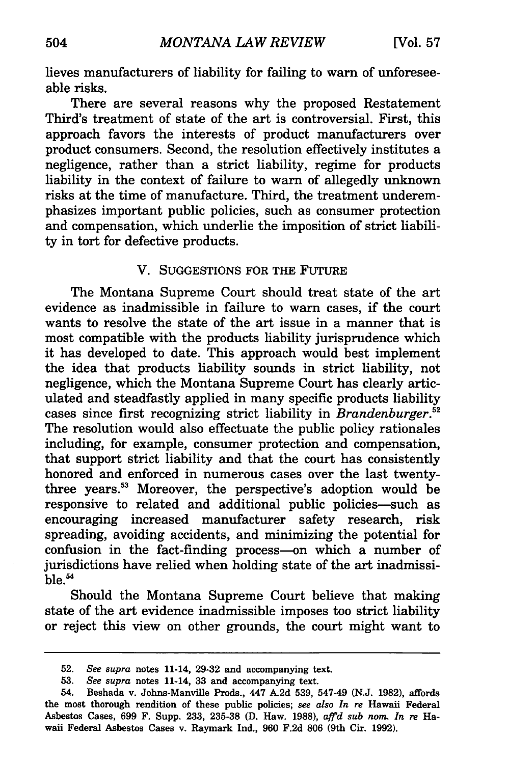lieves manufacturers of liability for failing to warn of unforeseeable risks.

There are several reasons why the proposed Restatement Third's treatment of state of the art is controversial. First, this approach favors the interests of product manufacturers over product consumers. Second, the resolution effectively institutes a negligence, rather than a strict liability, regime for products liability in the context of failure to warn of allegedly unknown risks at the time of manufacture. Third, the treatment underemphasizes important public policies, such as consumer protection and compensation, which underlie the imposition of strict liability in tort for defective products.

#### V. SUGGESTIONS FOR THE FUTURE

The Montana Supreme Court should treat state of the art evidence as inadmissible in failure to warn cases, if the court wants to resolve the state of the art issue in a manner that is most compatible with the products liability jurisprudence which it has developed to date. This approach would best implement the idea that products liability sounds in strict liability, not negligence, which the Montana Supreme Court has clearly articulated and steadfastly applied in many specific products liability cases since first recognizing strict liability in *Brandenburger.* <sup>52</sup> The resolution would also effectuate the public policy rationales including, for example, consumer protection and compensation, that support strict liability and that the court has consistently honored and enforced in numerous cases over the last twentythree years.53 Moreover, the perspective's adoption would be responsive to related and additional public policies-such as encouraging increased manufacturer safety research, risk spreading, avoiding accidents, and minimizing the potential for confusion in the fact-finding process-on which a number of jurisdictions have relied when holding state of the art inadmissible. 54

Should the Montana Supreme Court believe that making state of the art evidence inadmissible imposes too strict liability or reject this view on other grounds, the court might want to

<sup>52.</sup> *See supra* notes 11-14, 29-32 and accompanying text.

<sup>53.</sup> *See supra* notes 11-14, 33 and accompanying text.

<sup>54.</sup> Beshada v. Johns-Manville Prods., 447 A.2d 539, 547-49 (N.J. 1982), affords the most thorough rendition of these public policies; *see also In re* Hawaii Federal Asbestos Cases, 699 F. Supp. 233, 235-38 (D. Haw. 1988), *affd sub nom. In re* Hawaii Federal Asbestos Cases v. Raymark Ind., 960 F.2d 806 (9th Cir. 1992).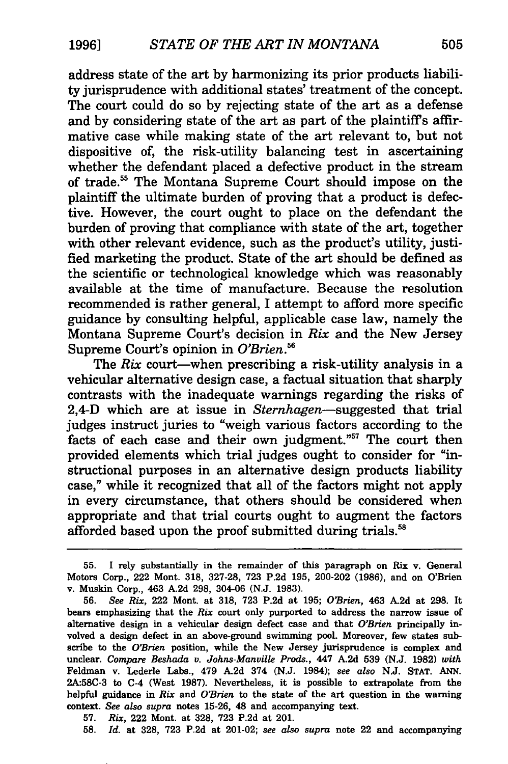address state of the art by harmonizing its prior products liability jurisprudence with additional states' treatment of the concept. The court could do so by rejecting state of the art as a defense and by considering state of the art as part of the plaintiff's affirmative case while making state of the art relevant to, but not dispositive of, the risk-utility balancing test in ascertaining whether the defendant placed a defective product in the stream of trade.55 The Montana Supreme Court should impose on the plaintiff the ultimate burden of proving that a product is defective. However, the court ought to place on the defendant the burden of proving that compliance with state of the art, together with other relevant evidence, such as the product's utility, justified marketing the product. State of the art should be defined as the scientific or technological knowledge which was reasonably available at the time of manufacture. Because the resolution recommended is rather general, I attempt to afford more specific guidance by consulting helpful, applicable case law, namely the Montana Supreme Court's decision in *Rix* and the New Jersey Supreme Court's opinion in *O'Brien.56* 

The *Rix* court—when prescribing a risk-utility analysis in a vehicular alternative design case, a factual situation that sharply contrasts with the inadequate warnings regarding the risks of 2,4-D which are at issue in *Sternhagen-suggested* that trial judges instruct juries to "weigh various factors according to the facts of each case and their own judgment."<sup>57</sup> The court then provided elements which trial judges ought to consider for "instructional purposes in an alternative design products liability case," while it recognized that all of the factors might not apply in every circumstance, that others should be considered when appropriate and that trial courts ought to augment the factors afforded based upon the proof submitted during trials.<sup>58</sup>

<sup>55.</sup> I rely substantially in the remainder of this paragraph on Rix v. General Motors Corp., 222 Mont. 318, 327-28, 723 P.2d 195, 200-202 (1986), and on O'Brien v. Muskin Corp., 463 A.2d 298, 304-06 (N.J. 1983).

<sup>56.</sup> *See Rix,* 222 Mont. at 318, 723 P.2d at 195; *O'Brien,* 463 A.2d at 298. It bears emphasizing that the *Rix* court only purported to address the narrow issue of alternative design in a vehicular design defect case and that *O'Brien* principally involved a design defect in an above-ground swimming pool. Moreover, few states subscribe to the *O'Brien* position, while the New Jersey jurisprudence is complex and unclear. *Compare Beshada v. Johns-Manville Prods.,* 447 A.2d 539 (N.J. 1982) *with*  Feldman v. Lederle Labs., 479 A.2d 374 (N.J. 1984); *see also* N.J. STAT. ANN. 2A:58C-3 to C-4 (West 1987). Nevertheless, it is possible to extrapolate from the helpful guidance in *Rix* and *O'Brien* to the state of the art question in the warning context. *See also supra* notes 15-26, 48 and accompanying text.

<sup>57.</sup> *Rix,* 222 Mont. at 328, 723 P.2d at 201.

<sup>58.</sup> *Id.* at 328, 723 P.2d at 201-02; *see also supra* note 22 and accompanying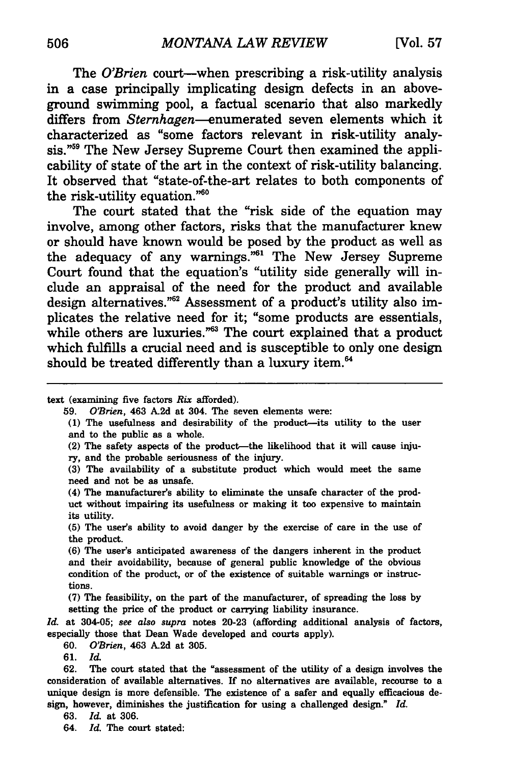The *O'Brien* court—when prescribing a risk-utility analysis in a case principally implicating design defects in an aboveground swimming pool, a factual scenario that also markedly differs from *Sternhagen-enumerated* seven elements which it characterized as "some factors relevant in risk-utility analysis."<sup>59</sup> The New Jersey Supreme Court then examined the applicability of state of the art in the context of risk-utility balancing. It observed that "state-of-the-art relates to both components of the risk-utility equation."<sup>60</sup>

The court stated that the "risk side of the equation may involve, among other factors, risks that the manufacturer knew or should have known would be posed by the product as well as the adequacy of any warnings."61 The New Jersey Supreme Court found that the equation's "utility side generally will include an appraisal of the need for the product and available design alternatives. " 62 Assessment of a product's utility also implicates the relative need for it; "some products are essentials, while others are luxuries."<sup>63</sup> The court explained that a product which fulfills a crucial need and is susceptible to only one design should be treated differently than a luxury item.<sup>64</sup>

text (examining five factors Rix afforded).

59. O'Brien, 463 A.2d at 304. The seven elements were:

( 1) The usefulness and desirability of the product-its utility to the user and to the public as a whole.

(2) The safety aspects of the product—the likelihood that it will cause injury, and the probable seriousness of the injury.

(3) The availability of a substitute product which would meet the same need and not be as unsafe.

( 4) The manufacturer's ability to eliminate the unsafe character of the product without impairing its usefulness or making it too expensive to maintain its utility.

(5) The user's ability to avoid danger by the exercise of care in the use of the product.

(6) The user's anticipated awareness of the dangers inherent in the product and their avoidability, because of general public knowledge of the obvious condition of the product, or of the existence of suitable warnings or instructions.

(7) The feasibility, on the part of the manufacturer, of spreading the loss by setting the price of the product or carrying liability insurance.

*Id.* at 304-05; *see also supra* notes 20-23 (affording additional analysis of factors, especially those that Dean Wade developed and courts apply).

60. O'Brien, 463 A.2d at 305.

61. *Id.* 

62. The court stated that the "assessment of the utility of a design involves the consideration of available alternatives. If no alternatives are available, recourse to a unique design is more defensible. The existence of a safer and equally efficacious design, however, diminishes the justification for using a challenged design." *Id.* 

63. *Id.* at 306.

64. *Id.* The court stated: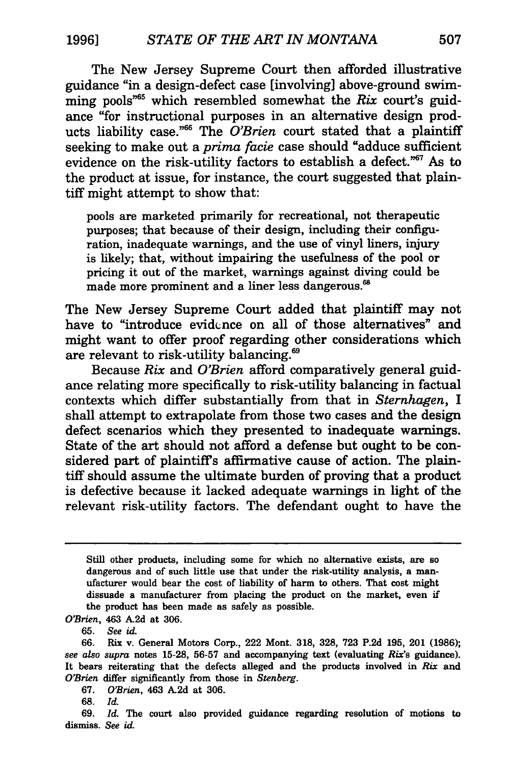The New Jersey Supreme Court then afforded illustrative guidance "in a design-defect case [involving] above-ground swimming pools"65 which resembled somewhat the *Rix* court's guidance "for instructional purposes in an alternative design products liability case. " 66 The *O'Brien* court stated that a plaintiff seeking to make out a *prima facie* case should "adduce sufficient evidence on the risk-utility factors to establish a defect."<sup>67</sup> As to the product at issue, for instance, the court suggested that plaintiff might attempt to show that:

pools are marketed primarily for recreational, not therapeutic purposes; that because of their design, including their configuration, inadequate warnings, and the use of vinyl liners, injury is likely; that, without impairing the usefulness of the pool or pricing it out of the market, warnings against diving could be made more prominent and a liner less dangerous.<sup>68</sup>

The New Jersey Supreme Court added that plaintiff may not have to "introduce evidence on all of those alternatives" and might want to offer proof regarding other considerations which are relevant to risk-utility balancing.<sup>69</sup>

Because *Rix* and *O'Brien* afford comparatively general guidance relating more specifically to risk-utility balancing in factual contexts which differ substantially from that in *Sternhagen,* I shall attempt to extrapolate from those two cases and the design defect scenarios which they presented to inadequate warnings. State of the art should not afford a defense but ought to be considered part of plaintiff's affirmative cause of action. The plaintiff should assume the ultimate burden of proving that a product is defective because it lacked adequate warnings in light of the relevant risk-utility factors. The defendant ought to have the

68. *Id.* 

Still other products, including some for which no alternative exists, are so dangerous and of such little use that under the risk-utility analysis, a manufacturer would bear the cost of liability of harm to others. That cost might dissuade a manufacturer from placing the product on the market, even if the product has been made as safely as possible.

*O'Brien,* 463 A2d at 306.

<sup>65.</sup> *See* id.

<sup>66.</sup> Rix v. General Motors Corp., 222 Mont. 318, 328, 723 P.2d 195, 201 (1986); see also supra notes 15-28, 56-57 and accompanying text (evaluating *Rix's* guidance). It bears reiterating that the defects alleged and the products involved in *Rix* and *O'Brien* differ significantly from those in *Stenberg.* 

<sup>67.</sup> *O'Brien,* 463 A2d at 306.

<sup>69.</sup> *Id.* The court also provided guidance regarding resolution of motions to dismiss. *See* id.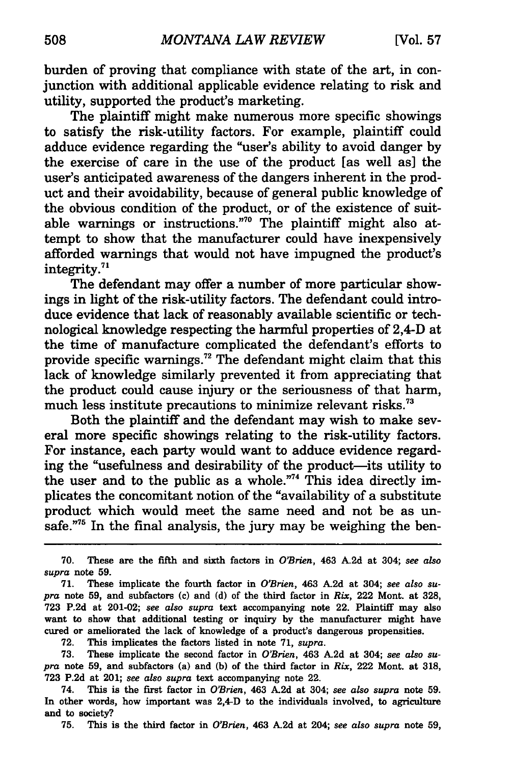burden of proving that compliance with state of the art, in conjunction with additional applicable evidence relating to risk and utility, supported the product's marketing.

The plaintiff might make numerous more specific showings to satisfy the risk-utility factors. For example, plaintiff could adduce evidence regarding the "user's ability to avoid danger by the exercise of care in the use of the product [as well as] the user's anticipated awareness of the dangers inherent in the product and their avoidability, because of general public knowledge of the obvious condition of the product, or of the existence of suitable warnings or instructions."<sup>70</sup> The plaintiff might also attempt to show that the manufacturer could have inexpensively afforded warnings that would not have impugned the product's integrity.<sup>71</sup>

The defendant may offer a number of more particular showings in light of the risk-utility factors. The defendant could introduce evidence that lack of reasonably available scientific or technological knowledge respecting the harmful properties of 2,4-D at the time of manufacture complicated the defendant's efforts to provide specific warnings.<sup>72</sup> The defendant might claim that this lack of knowledge similarly prevented it from appreciating that the product could cause injury or the seriousness of that harm, much less institute precautions to minimize relevant risks.<sup>73</sup>

Both the plaintiff and the defendant may wish to make several more specific showings relating to the risk-utility factors. For instance, each party would want to adduce evidence regarding the "usefulness and desirability of the product-its utility to the user and to the public as a whole."<sup>74</sup> This idea directly implicates the concomitant notion of the "availability of a substitute product which would meet the same need and not be as unsafe. $75$  In the final analysis, the jury may be weighing the ben-

72. This implicates the factors listed in note 71, *supra.* 

73. These implicate the second factor in *O'Brien,* 463 A.2d at 304; *see also supra* note 59, and subfactors (a) and (b) of the third factor in *Rix,* 222 Mont. at 318, 723 P.2d at 201; *see also supra* text accompanying note 22.

74. This is the first factor in *O'Brien,* 463 A.2d at 304; *see also supra* note 59. In other words, how important was 2,4-D to the individuals involved, to agriculture and to society?

75. This is the third factor in *O'Brien,* 463 A.2d at 204; *see also supra* note 59,

<sup>70.</sup> These are the fifth and sixth factors in *O'Brien,* 463 A.2d at 304; *see also supra* note 59.

<sup>71.</sup> These implicate the fourth factor in *O'Brien,* 463 A.2d at 304; *see also supra* note 59, and subfactors (c) and (d) of the third factor in *Rix,* 222 Mont. at 328, 723 P.2d at 201-02; *see also supra* text accompanying note 22. Plaintiff may also want to show that additional testing or inquiry by the manufacturer might have cured or ameliorated the lack of knowledge of a product's dangerous propensities.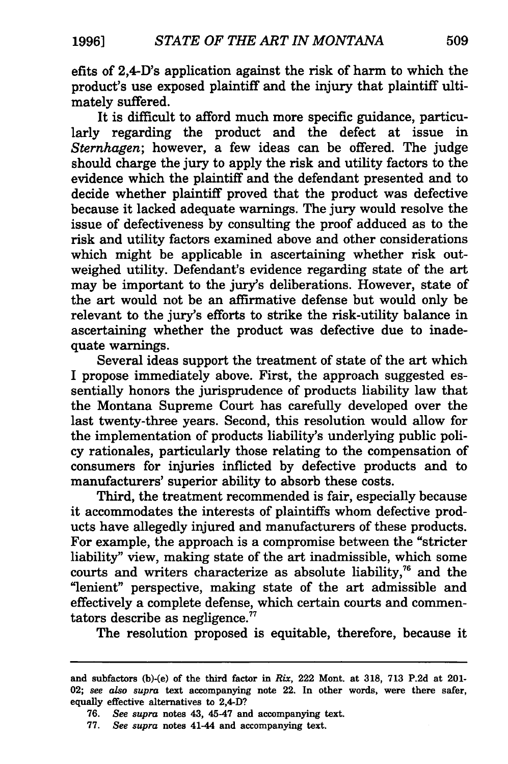efits of 2,4-D's application against the risk of harm to which the product's use exposed plaintiff and the injury that plaintiff ultimately suffered.

It is difficult to afford much more specific guidance, particularly regarding the product and the defect at issue in *Sternhagen;* however, a few ideas can be offered. The judge should charge the jury to apply the risk and utility factors to the evidence which the plaintiff and the defendant presented and to decide whether plaintiff proved that the product was defective because it lacked adequate warnings. The jury would resolve the issue of defectiveness by consulting the proof adduced as to the risk and utility factors examined above and other considerations which might be applicable in ascertaining whether risk outweighed utility. Defendant's evidence regarding state of the art may be important to the jury's deliberations. However, state of the art would not be an affirmative defense but would only be relevant to the jury's efforts to strike the risk-utility balance in ascertaining whether the product was defective due to inadequate warnings.

Several ideas support the treatment of state of the art which I propose immediately above. First, the approach suggested essentially honors the jurisprudence of products liability law that the Montana Supreme Court has carefully developed over the last twenty-three years. Second, this resolution would allow for the implementation of products liability's underlying public policy rationales, particularly those relating to the compensation of consumers for injuries inflicted by defective products and to manufacturers' superior ability to absorb these costs.

Third, the treatment recommended is fair, especially because it accommodates the interests of plaintiffs whom defective products have allegedly injured and manufacturers of these products. For example, the approach is a compromise between the "stricter liability" view, making state of the art inadmissible, which some courts and writers characterize as absolute liability,<sup>76</sup> and the "lenient" perspective, making state of the art admissible and effectively a complete defense, which certain courts and commentators describe as negligence.<sup>77</sup>

The resolution proposed is equitable, therefore, because it

and subfactors (b)-(e) of the third factor in *Rix,* 222 Mont. at 318, 713 P.2d at 201- 02; *see also supra* text accompanying note 22. In other words, were there safer, equally effective alternatives to 2,4-D?

<sup>76.</sup> *See supra* notes 43, 45-47 and accompanying text.

<sup>77.</sup> *See supra* notes 41-44 and accompanying text.